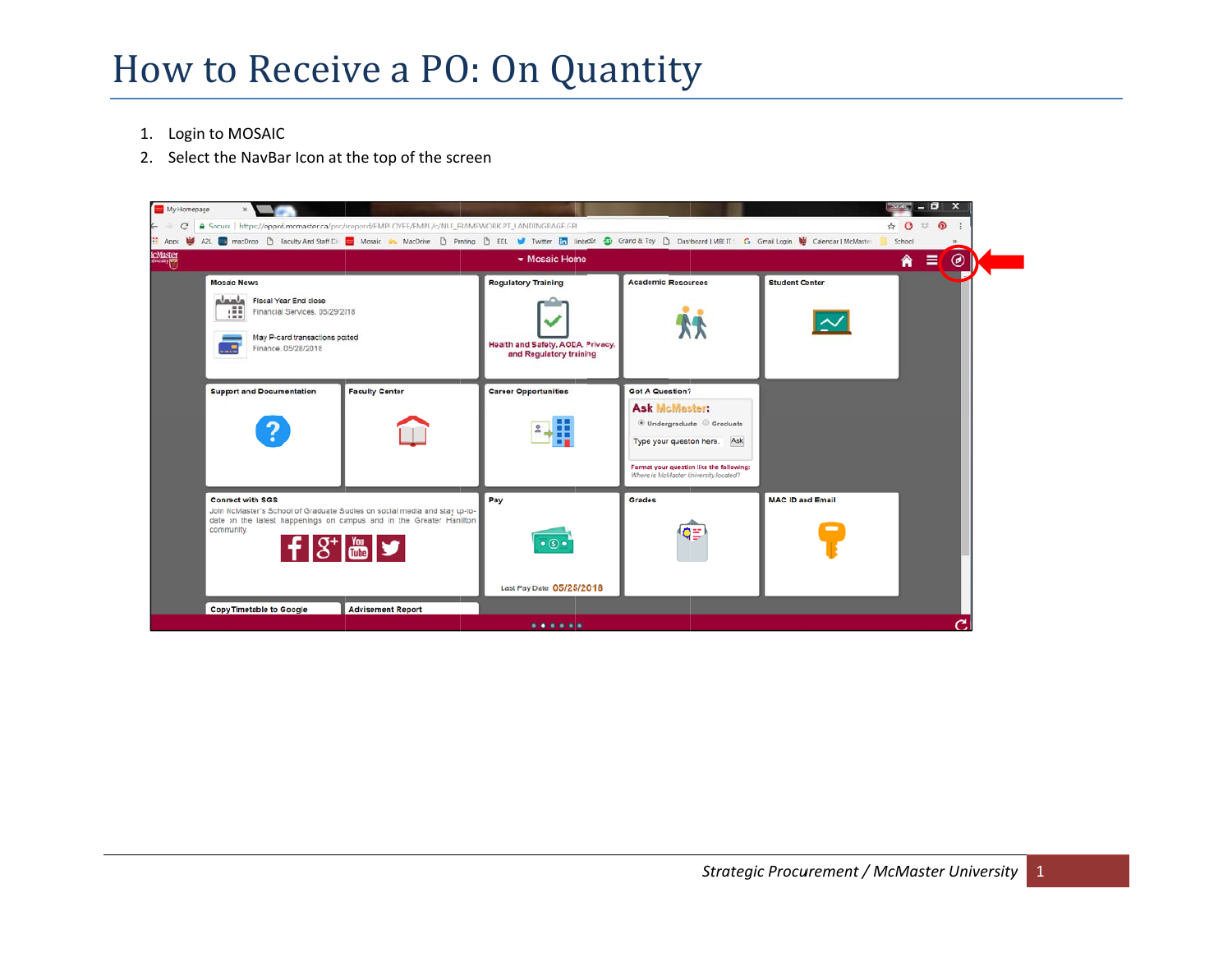## How to Receive a PO: On Quantity

- 1. Login to MOSAIC
- 2. Select the NavBar Icon at the top of the screen

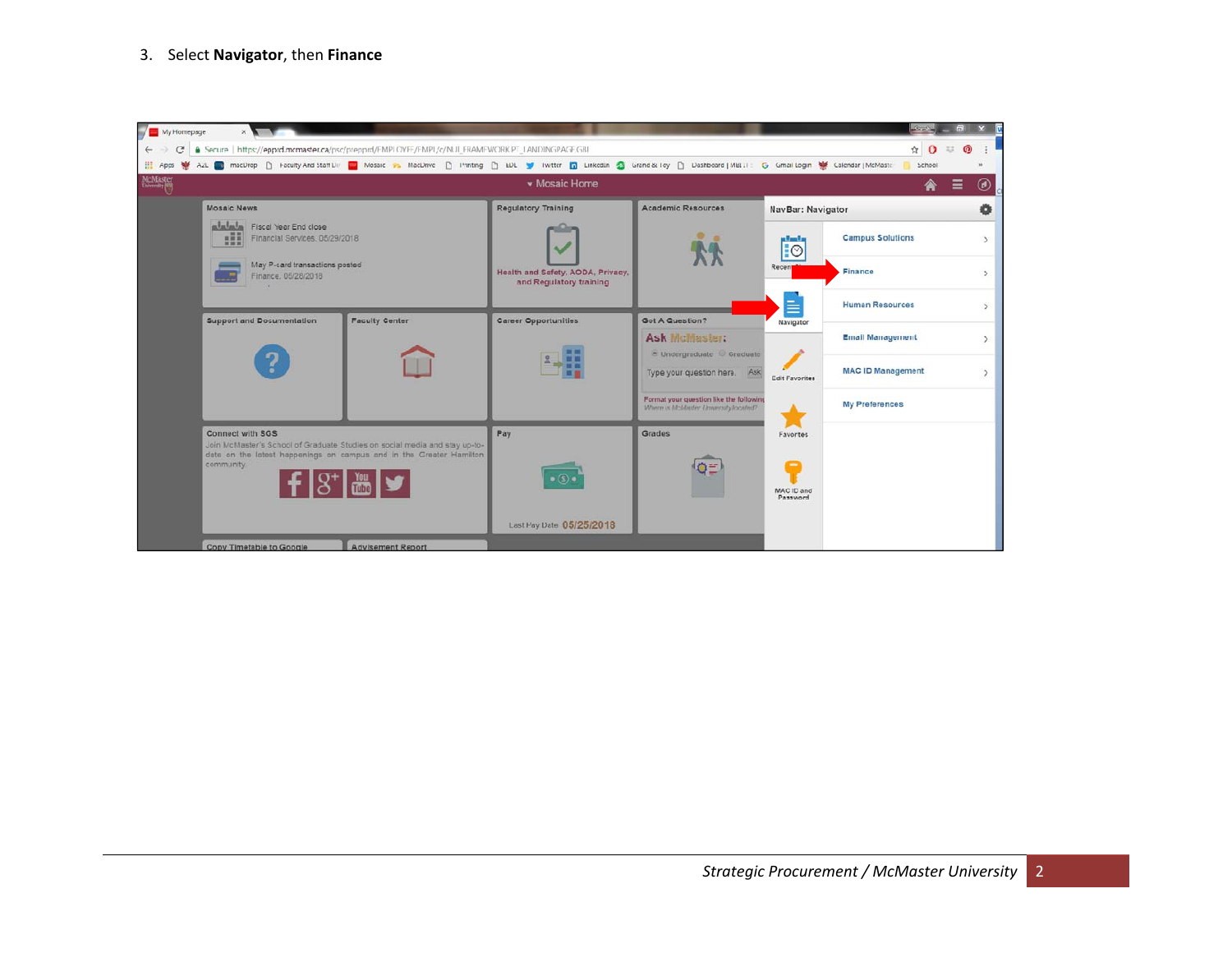## 3. Select **Navigator**, then **Finance**

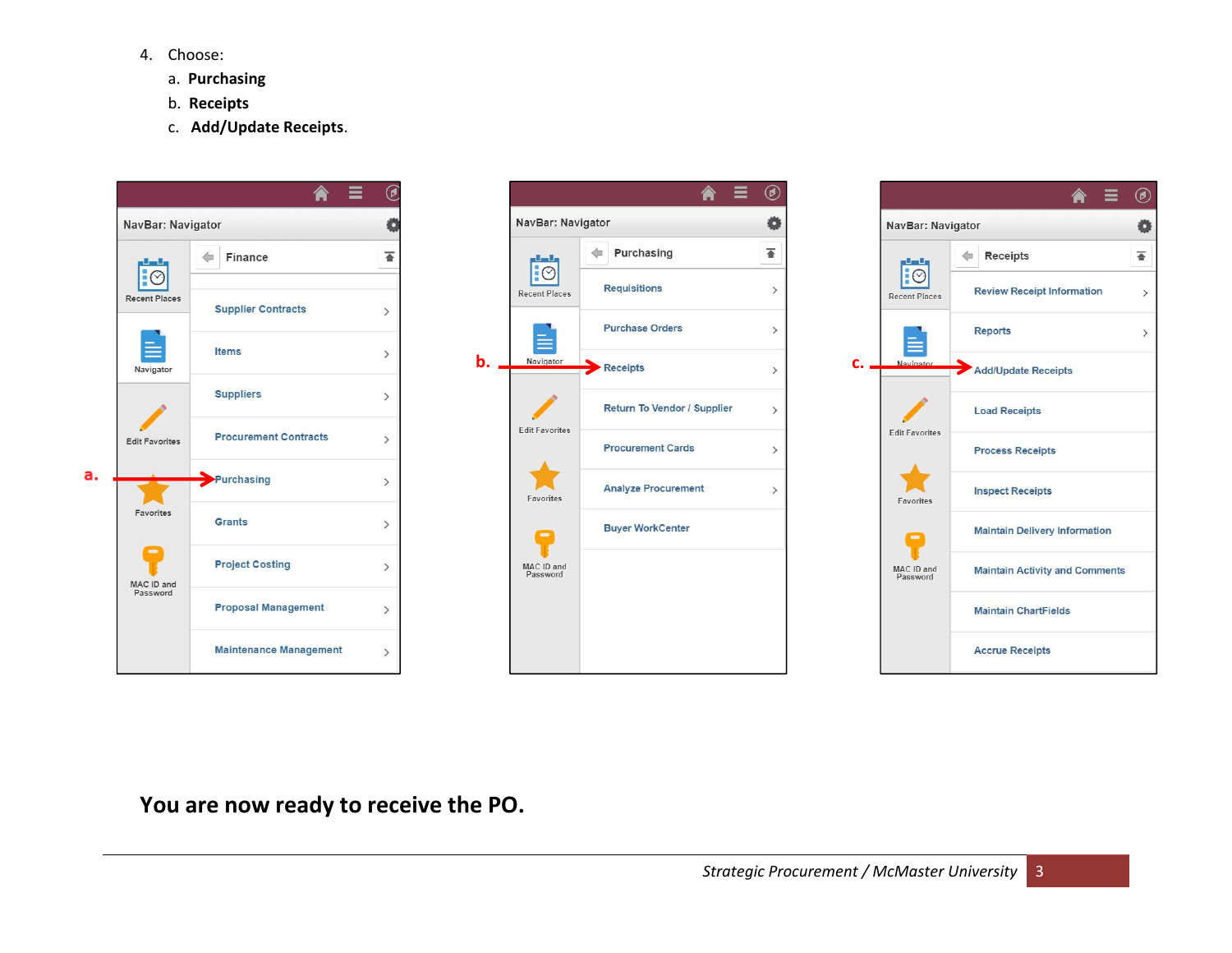- 4. Choose:
	- a. **Purchasing**
	- b. **Receipts**
	- c. **Add/Update Receipts**.







**You are now ready to receive the PO.**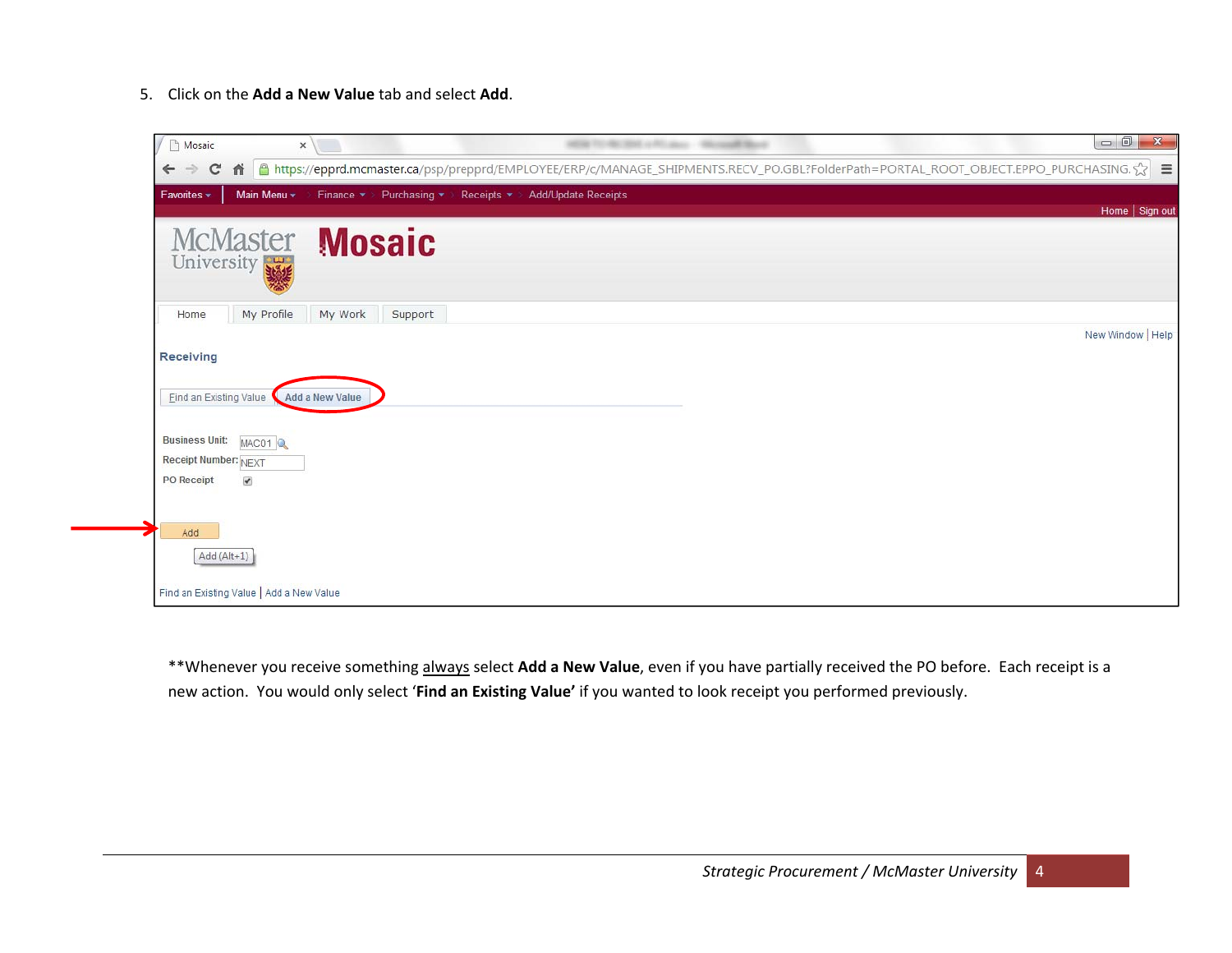5. Click on the **Add a New Value** tab and select **Add**.

| Mosaic                                                                                           | $\Box$<br>$\mathbf{x}$<br>$\times$                                                                                                        |
|--------------------------------------------------------------------------------------------------|-------------------------------------------------------------------------------------------------------------------------------------------|
| C<br>$\leftarrow$<br>$\rightarrow$                                                               | A a https://epprd.mcmaster.ca/psp/prepprd/EMPLOYEE/ERP/c/MANAGE_SHIPMENTS.RECV_PO.GBL?FolderPath=PORTAL_ROOT_OBJECT.EPPO_PURCHASING.☆   三 |
| Main Menu *<br>Favorites *                                                                       | Finance * > Purchasing * > Receipts * ><br>Add/Update Receipts<br>Home   Sign out                                                         |
| <b>McMaster</b><br>University                                                                    | <b>Mosaic</b>                                                                                                                             |
| My Profile<br>Home                                                                               | My Work<br>Support                                                                                                                        |
| Receiving<br>Eind an Existing Value                                                              | New Window   Help<br><b>Add a New Value</b>                                                                                               |
| <b>Business Unit:</b><br>MAC01<br>Receipt Number: NEXT<br>$\overline{\mathcal{L}}$<br>PO Receipt |                                                                                                                                           |
| Add<br>Add (Alt+1)<br>Find an Existing Value   Add a New Value                                   |                                                                                                                                           |

\*\*Whenever you receive something always select **Add <sup>a</sup> New Value**, even if you have partially received the PO before. Each receipt is <sup>a</sup> new action. You would only select '**Find an Existing Value'** if you wanted to look receipt you performed previously.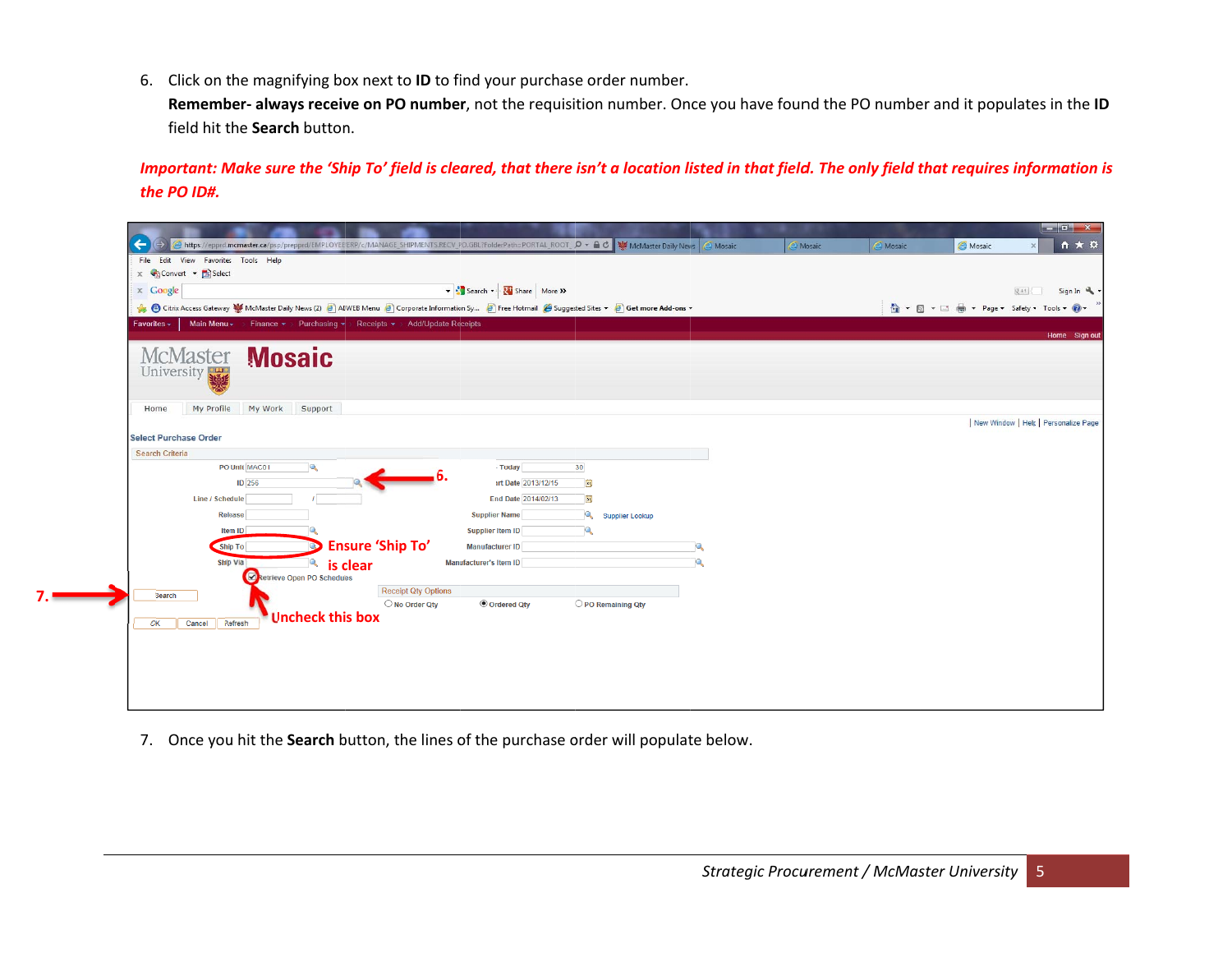6. Click on the magnifying box next to **ID** to find your purchase order number.

**Remember- always receive on PO number**, not the requisition number. Once you have found the PO number and it populates in the **ID** field hit t he **Search** button n.

Important: Make sure the 'Ship To' field is cleared, that there isn't a location listed in that field. The only field that requires information is *the PO ID#.*

| https://epprd.mcmaster.ca/psp/prepprd/EMPLOYEE/ERP/c/MANAGE_SHIPMENTS.RECV_PO.GBL?FolderPath=PORTAL_ROOT_ Q + A O   W McMaster Daily News<br>←  |                            |                                     |                    | Nosaic<br>A Mosaic | Mosaic | Mosaic | $-6$ $x$<br>← ★ ☆<br>$\times$        |
|-------------------------------------------------------------------------------------------------------------------------------------------------|----------------------------|-------------------------------------|--------------------|--------------------|--------|--------|--------------------------------------|
| View Favorites Tools Help<br>File Edit                                                                                                          |                            |                                     |                    |                    |        |        |                                      |
| x Convert v Select                                                                                                                              |                            |                                     |                    |                    |        |        |                                      |
| $\times$ Google                                                                                                                                 |                            | Search v - Share More >>            |                    |                    |        |        | Sign In<br>又+1                       |
| Citrix Access Gateway W McMaster Daily News (2) @ ADWEB Menu @ Corporate Information Sy @ Free Hotmail @ Suggested Sites v @ Get more Add-ons v |                            |                                     |                    |                    |        |        |                                      |
| Main Menu v > Finance v > Purchasing v > Receipts v > Add/Update Receipts<br>$Favorites -$                                                      |                            |                                     |                    |                    |        |        |                                      |
|                                                                                                                                                 |                            |                                     |                    |                    |        |        | Home Sign out                        |
| McMaster <b>Mosaic</b>                                                                                                                          |                            |                                     |                    |                    |        |        |                                      |
| University                                                                                                                                      |                            |                                     |                    |                    |        |        |                                      |
|                                                                                                                                                 |                            |                                     |                    |                    |        |        |                                      |
| My Profile<br>My Work<br>Support<br>Home                                                                                                        |                            |                                     |                    |                    |        |        |                                      |
|                                                                                                                                                 |                            |                                     |                    |                    |        |        | New Window   Help   Personalize Page |
| <b>Select Purchase Order</b>                                                                                                                    |                            |                                     |                    |                    |        |        |                                      |
| <b>Search Criteria</b>                                                                                                                          |                            |                                     |                    |                    |        |        |                                      |
| PO Unit MAC01<br>Q                                                                                                                              |                            | 30<br>- Today                       |                    |                    |        |        |                                      |
| <b>ID</b> 256                                                                                                                                   |                            | irt Date 2013/12/15<br>B            |                    |                    |        |        |                                      |
| <b>Line / Schedule</b>                                                                                                                          |                            | $\mathbf{B}$<br>End Date 2014/02/13 |                    |                    |        |        |                                      |
| <b>Release</b>                                                                                                                                  |                            | <b>Supplier Name</b>                | Supplier Lookup    |                    |        |        |                                      |
| Item ID                                                                                                                                         |                            | 10.<br>Supplier Item ID             |                    |                    |        |        |                                      |
| Ship To                                                                                                                                         | <b>Ensure 'Ship To'</b>    | Manufacturer ID                     |                    |                    |        |        |                                      |
| Ship Via<br>is clear<br>Ю<br>Retrieve Open PO Schedules                                                                                         |                            | Manufacturer's Item ID              |                    |                    |        |        |                                      |
|                                                                                                                                                 | <b>Receipt Qty Options</b> |                                     |                    |                    |        |        |                                      |
| Search                                                                                                                                          | O No Order Qty             | <sup>●</sup> Ordered Qty            | O PO Remaining Qty |                    |        |        |                                      |
| <b>Uncheck this box</b><br>Refresh<br>OK<br>Cancel                                                                                              |                            |                                     |                    |                    |        |        |                                      |
|                                                                                                                                                 |                            |                                     |                    |                    |        |        |                                      |
|                                                                                                                                                 |                            |                                     |                    |                    |        |        |                                      |
|                                                                                                                                                 |                            |                                     |                    |                    |        |        |                                      |
|                                                                                                                                                 |                            |                                     |                    |                    |        |        |                                      |
|                                                                                                                                                 |                            |                                     |                    |                    |        |        |                                      |

7. Once you hit the **Search** button, the lines of the purchase order will populate below.

**7.**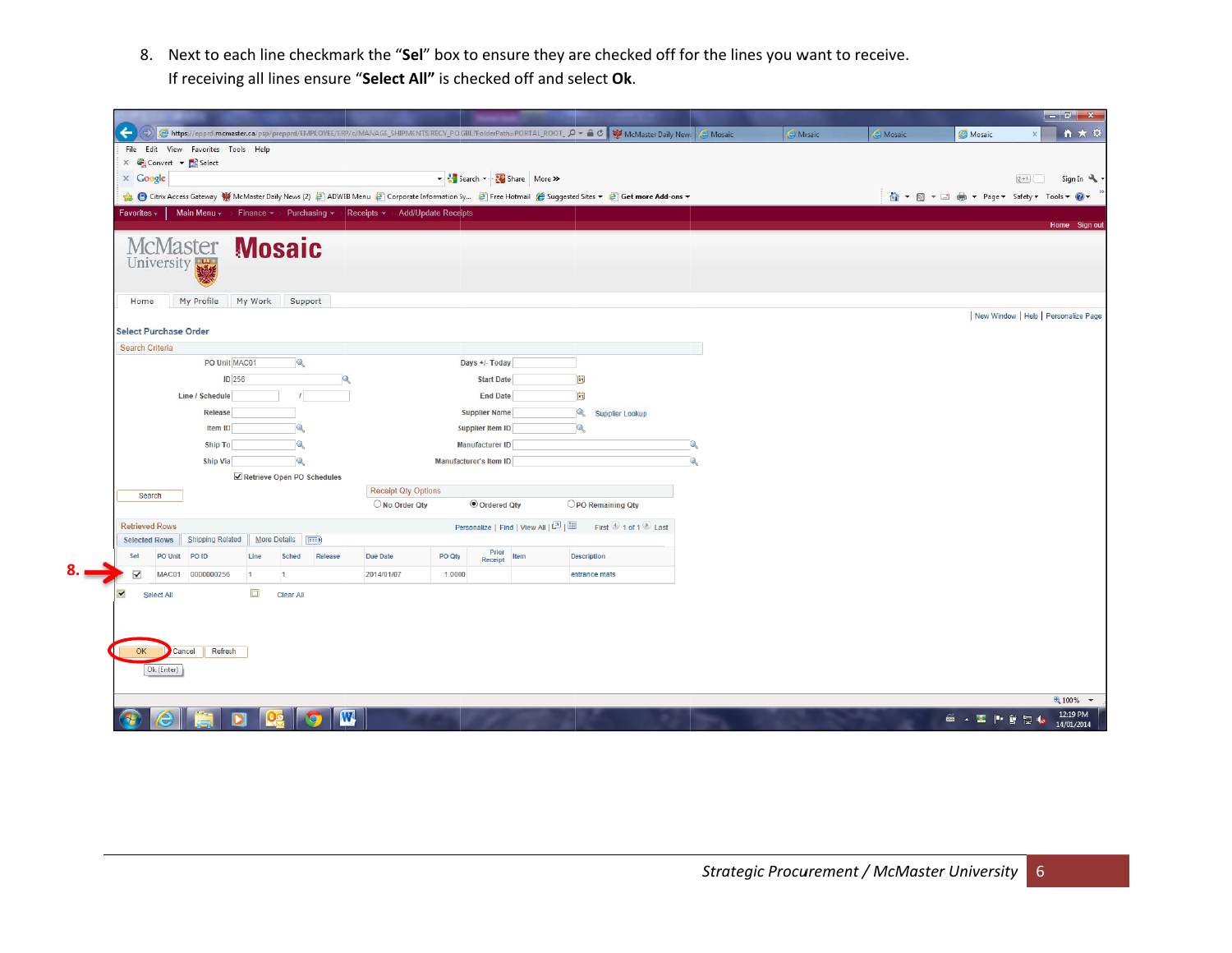8. Next to each line checkmark the "Sel" box to ensure they are checked off for the lines you want to receive. If receiving all lines ensure "Select All" is checked off and select Ok.